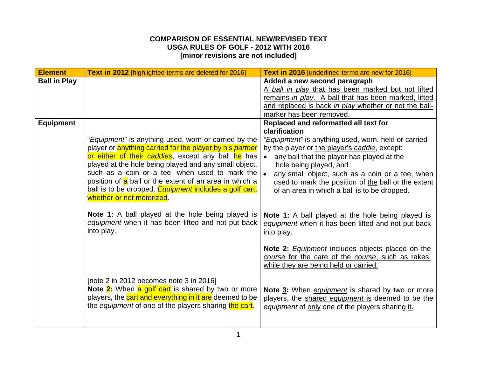## **COMPARISON OF ESSENTIAL NEW/REVISED TEXT USGA RULES OF GOLF - 2012 WITH 2016 [minor revisions are not included]**

| <b>Element</b>      | Text in 2012 [highlighted terms are deleted for 2016]                                      | Text in 2016 [underlined terms are new for 2016]      |
|---------------------|--------------------------------------------------------------------------------------------|-------------------------------------------------------|
| <b>Ball in Play</b> |                                                                                            | Added a new second paragraph                          |
|                     |                                                                                            | A ball in play that has been marked but not lifted    |
|                     |                                                                                            | remains in play. A ball that has been marked, lifted  |
|                     |                                                                                            | and replaced is back in play whether or not the ball- |
|                     |                                                                                            | marker has been removed.                              |
| <b>Equipment</b>    |                                                                                            | Replaced and reformatted all text for                 |
|                     |                                                                                            | clarification                                         |
|                     | "Equipment" is anything used, worn or carried by the                                       | "Equipment" is anything used, worn, held or carried   |
|                     | player or anything carried for the player by his partner                                   | by the player or the player's caddie, except:         |
|                     | or either of their caddies, except any ball he has                                         | any ball that the player has played at the            |
|                     | played at the hole being played and any small object,                                      | hole being played, and                                |
|                     | such as a coin or a tee, when used to mark the                                             | any small object, such as a coin or a tee, when       |
|                     | position of a ball or the extent of an area in which a                                     | used to mark the position of the ball or the extent   |
|                     | ball is to be dropped. <i>Equipment</i> includes a golf cart,<br>whether or not motorized. | of an area in which a ball is to be dropped.          |
|                     |                                                                                            |                                                       |
|                     | Note 1: A ball played at the hole being played is                                          | Note 1: A ball played at the hole being played is     |
|                     | equipment when it has been lifted and not put back                                         | equipment when it has been lifted and not put back    |
|                     | into play.                                                                                 | into play.                                            |
|                     |                                                                                            |                                                       |
|                     |                                                                                            | Note 2: Equipment includes objects placed on the      |
|                     |                                                                                            | course for the care of the course, such as rakes,     |
|                     |                                                                                            | while they are being held or carried.                 |
|                     |                                                                                            |                                                       |
|                     | [note 2 in 2012 becomes note 3 in 2016]                                                    |                                                       |
|                     | <b>Note 2:</b> When a golf cart is shared by two or more                                   | Note 3: When equipment is shared by two or more       |
|                     | players, the cart and everything in it are deemed to be                                    | players, the shared equipment is deemed to be the     |
|                     | the equipment of one of the players sharing the cart.                                      | equipment of only one of the players sharing it.      |
|                     |                                                                                            |                                                       |
|                     |                                                                                            |                                                       |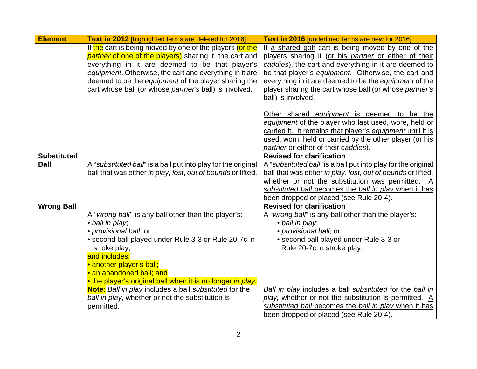| <b>Element</b>     | Text in 2012 [highlighted terms are deleted for 2016]         | Text in 2016 [underlined terms are new for 2016]                             |
|--------------------|---------------------------------------------------------------|------------------------------------------------------------------------------|
|                    | If the cart is being moved by one of the players (or the      | If a shared golf cart is being moved by one of the                           |
|                    | partner of one of the players) sharing it, the cart and       | players sharing it (or his partner or either of their                        |
|                    | everything in it are deemed to be that player's               | caddies), the cart and everything in it are deemed to                        |
|                    | equipment. Otherwise, the cart and everything in it are       | be that player's equipment. Otherwise, the cart and                          |
|                    | deemed to be the equipment of the player sharing the          | everything in it are deemed to be the equipment of the                       |
|                    | cart whose ball (or whose partner's ball) is involved.        | player sharing the cart whose ball (or whose partner's<br>ball) is involved. |
|                    |                                                               |                                                                              |
|                    |                                                               | Other shared equipment is deemed to be the                                   |
|                    |                                                               | equipment of the player who last used, wore, held or                         |
|                    |                                                               | carried it. It remains that player's equipment until it is                   |
|                    |                                                               | used, worn, held or carried by the other player (or his                      |
|                    |                                                               | partner or either of their caddies).                                         |
| <b>Substituted</b> |                                                               | <b>Revised for clarification</b>                                             |
| <b>Ball</b>        | A "substituted ball" is a ball put into play for the original | A "substituted ball" is a ball put into play for the original                |
|                    | ball that was either in play, lost, out of bounds or lifted.  | ball that was either in play, lost, out of bounds or lifted,                 |
|                    |                                                               | whether or not the substitution was permitted.<br>A                          |
|                    |                                                               | substituted ball becomes the ball in play when it has                        |
| <b>Wrong Ball</b>  |                                                               | been dropped or placed (see Rule 20-4).<br><b>Revised for clarification</b>  |
|                    | A "wrong ball" is any ball other than the player's:           | A "wrong ball" is any ball other than the player's:                          |
|                    | · ball in play;                                               | • ball in play;                                                              |
|                    | · provisional ball; or                                        | · provisional ball; or                                                       |
|                    | • second ball played under Rule 3-3 or Rule 20-7c in          | • second ball played under Rule 3-3 or                                       |
|                    | stroke play;                                                  | Rule 20-7c in stroke play.                                                   |
|                    | and includes:                                                 |                                                                              |
|                    | • another player's ball;                                      |                                                                              |
|                    | • an abandoned ball; and                                      |                                                                              |
|                    | • the player's original ball when it is no longer in play.    |                                                                              |
|                    | <b>Note:</b> Ball in play includes a ball substituted for the | Ball in play includes a ball substituted for the ball in                     |
|                    | ball in play, whether or not the substitution is              | play, whether or not the substitution is permitted. $\overline{A}$           |
|                    | permitted.                                                    | substituted ball becomes the ball in play when it has                        |
|                    |                                                               | been dropped or placed (see Rule 20-4).                                      |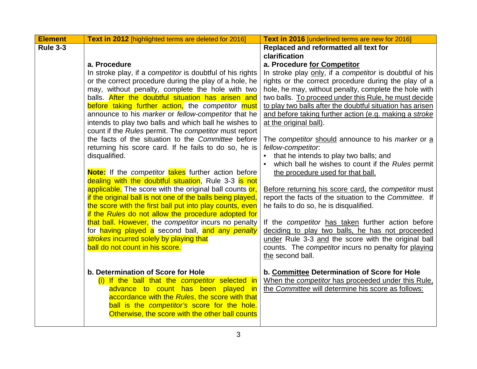| <b>Element</b>  | Text in 2012 [highlighted terms are deleted for 2016]                                                       | Text in 2016 [underlined terms are new for 2016]                                                             |
|-----------------|-------------------------------------------------------------------------------------------------------------|--------------------------------------------------------------------------------------------------------------|
| <b>Rule 3-3</b> |                                                                                                             | Replaced and reformatted all text for                                                                        |
|                 |                                                                                                             | clarification                                                                                                |
|                 | a. Procedure                                                                                                | a. Procedure for Competitor                                                                                  |
|                 | In stroke play, if a <i>competitor</i> is doubtful of his rights                                            | In stroke play only, if a competitor is doubtful of his                                                      |
|                 | or the correct procedure during the play of a hole, he                                                      | rights or the correct procedure during the play of a                                                         |
|                 | may, without penalty, complete the hole with two                                                            | hole, he may, without penalty, complete the hole with                                                        |
|                 | balls. After the doubtful situation has arisen and                                                          | two balls. To proceed under this Rule, he must decide                                                        |
|                 | before taking further action, the competitor must                                                           | to play two balls after the doubtful situation has arisen                                                    |
|                 | announce to his marker or fellow-competitor that he                                                         | and before taking further action (e.g. making a stroke                                                       |
|                 | intends to play two balls and which ball he wishes to                                                       | at the original ball).                                                                                       |
|                 | count if the Rules permit. The competitor must report                                                       |                                                                                                              |
|                 | the facts of the situation to the Committee before                                                          | The competitor should announce to his marker or a                                                            |
|                 | returning his score card. If he fails to do so, he is                                                       | fellow-competitor.                                                                                           |
|                 | disqualified.                                                                                               | that he intends to play two balls; and                                                                       |
|                 |                                                                                                             | which ball he wishes to count if the Rules permit                                                            |
|                 | <b>Note:</b> If the competitor takes further action before                                                  | the procedure used for that ball.                                                                            |
|                 | dealing with the doubtful situation, Rule 3-3 is not                                                        |                                                                                                              |
|                 | applicable. The score with the original ball counts or,                                                     | Before returning his score card, the competitor must                                                         |
|                 | if the original ball is not one of the balls being played,                                                  | report the facts of the situation to the Committee. If                                                       |
|                 | the score with the first ball put into play counts, even                                                    | he fails to do so, he is disqualified.                                                                       |
|                 | if the Rules do not allow the procedure adopted for<br>that ball. However, the competitor incurs no penalty |                                                                                                              |
|                 | for having played a second ball, and any penalty                                                            | If the <i>competitor</i> has taken further action before<br>deciding to play two balls, he has not proceeded |
|                 | strokes incurred solely by playing that                                                                     | under Rule 3-3 and the score with the original ball                                                          |
|                 | ball do not count in his score.                                                                             | counts. The <i>competitor</i> incurs no penalty for playing                                                  |
|                 |                                                                                                             | the second ball.                                                                                             |
|                 |                                                                                                             |                                                                                                              |
|                 | b. Determination of Score for Hole                                                                          | b. Committee Determination of Score for Hole                                                                 |
|                 | (i) If the ball that the competitor selected in                                                             | When the <i>competitor</i> has proceeded under this Rule,                                                    |
|                 | advance to count has been played<br><u>in</u>                                                               | the Committee will determine his score as follows:                                                           |
|                 | accordance with the Rules, the score with that                                                              |                                                                                                              |
|                 | ball is the competitor's score for the hole.                                                                |                                                                                                              |
|                 | Otherwise, the score with the other ball counts                                                             |                                                                                                              |
|                 |                                                                                                             |                                                                                                              |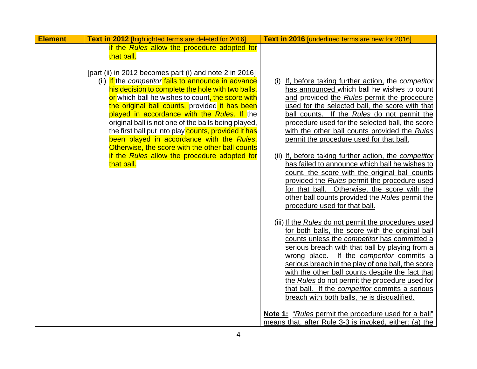| <b>Element</b> | Text in 2012 [highlighted terms are deleted for 2016]   | Text in 2016 [underlined terms are new for 2016]             |
|----------------|---------------------------------------------------------|--------------------------------------------------------------|
|                | if the Rules allow the procedure adopted for            |                                                              |
|                | that ball.                                              |                                                              |
|                |                                                         |                                                              |
|                | [part (ii) in 2012 becomes part (i) and note 2 in 2016] |                                                              |
|                | (ii) If the competitor fails to announce in advance     | (i) If, before taking further action, the competitor         |
|                | his decision to complete the hole with two balls,       | has announced which ball he wishes to count                  |
|                | or which ball he wishes to count, the score with        | and provided the Rules permit the procedure                  |
|                | the original ball counts, provided it has been          | used for the selected ball, the score with that              |
|                | played in accordance with the Rules. If the             | ball counts. If the Rules do not permit the                  |
|                | original ball is not one of the balls being played,     | procedure used for the selected ball, the score              |
|                | the first ball put into play counts, provided it has    | with the other ball counts provided the Rules                |
|                | been played in accordance with the Rules.               | permit the procedure used for that ball.                     |
|                | Otherwise, the score with the other ball counts         |                                                              |
|                | if the Rules allow the procedure adopted for            | (ii) If, before taking further action, the <i>competitor</i> |
|                | that ball.                                              | has failed to announce which ball he wishes to               |
|                |                                                         | count, the score with the original ball counts               |
|                |                                                         | provided the Rules permit the procedure used                 |
|                |                                                         | for that ball. Otherwise, the score with the                 |
|                |                                                         | other ball counts provided the Rules permit the              |
|                |                                                         | procedure used for that ball.                                |
|                |                                                         |                                                              |
|                |                                                         | (iii) If the Rules do not permit the procedures used         |
|                |                                                         | for both balls, the score with the original ball             |
|                |                                                         | counts unless the <i>competitor</i> has committed a          |
|                |                                                         | serious breach with that ball by playing from a              |
|                |                                                         | wrong place. If the competitor commits a                     |
|                |                                                         | serious breach in the play of one ball, the score            |
|                |                                                         | with the other ball counts despite the fact that             |
|                |                                                         | the Rules do not permit the procedure used for               |
|                |                                                         | that ball. If the <i>competitor</i> commits a serious        |
|                |                                                         | breach with both balls, he is disqualified.                  |
|                |                                                         |                                                              |
|                |                                                         | Note 1: "Rules permit the procedure used for a ball"         |
|                |                                                         | means that, after Rule 3-3 is invoked, either: (a) the       |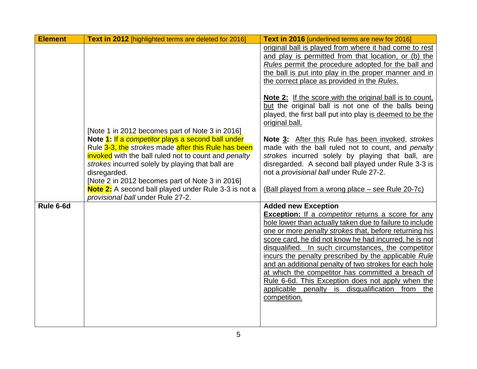| <b>Element</b> | Text in 2012 [highlighted terms are deleted for 2016]                                                       | Text in 2016 [underlined terms are new for 2016]                                                                        |
|----------------|-------------------------------------------------------------------------------------------------------------|-------------------------------------------------------------------------------------------------------------------------|
|                |                                                                                                             | original ball is played from where it had come to rest                                                                  |
|                |                                                                                                             | and play is permitted from that location, or (b) the                                                                    |
|                |                                                                                                             | Rules permit the procedure adopted for the ball and                                                                     |
|                |                                                                                                             | the ball is put into play in the proper manner and in<br>the correct place as provided in the Rules.                    |
|                |                                                                                                             |                                                                                                                         |
|                |                                                                                                             | <b>Note 2:</b> If the score with the original ball is to count,                                                         |
|                |                                                                                                             | but the original ball is not one of the balls being                                                                     |
|                |                                                                                                             | played, the first ball put into play is deemed to be the                                                                |
|                |                                                                                                             | original ball.                                                                                                          |
|                | [Note 1 in 2012 becomes part of Note 3 in 2016]                                                             |                                                                                                                         |
|                | Note 1: If a competitor plays a second ball under                                                           | Note 3: After this Rule has been invoked, strokes                                                                       |
|                | Rule 3-3, the strokes made after this Rule has been<br>invoked with the ball ruled not to count and penalty | made with the ball ruled not to count, and penalty<br>strokes incurred solely by playing that ball, are                 |
|                | strokes incurred solely by playing that ball are                                                            | disregarded. A second ball played under Rule 3-3 is                                                                     |
|                | disregarded.                                                                                                | not a <i>provisional ball</i> under Rule 27-2.                                                                          |
|                | [Note 2 in 2012 becomes part of Note 3 in 2016]                                                             |                                                                                                                         |
|                | <b>Note 2:</b> A second ball played under Rule 3-3 is not a                                                 | (Ball played from a wrong place – see Rule 20-7c)                                                                       |
|                | provisional ball under Rule 27-2.                                                                           |                                                                                                                         |
| Rule 6-6d      |                                                                                                             | <b>Added new Exception</b>                                                                                              |
|                |                                                                                                             | <b>Exception:</b> If a <i>competitor</i> returns a score for any                                                        |
|                |                                                                                                             | hole lower than actually taken due to failure to include                                                                |
|                |                                                                                                             | one or more <i>penalty strokes</i> that, before returning his<br>score card, he did not know he had incurred, he is not |
|                |                                                                                                             | disqualified. In such circumstances, the competitor                                                                     |
|                |                                                                                                             | incurs the penalty prescribed by the applicable Rule                                                                    |
|                |                                                                                                             | and an additional penalty of two strokes for each hole                                                                  |
|                |                                                                                                             | at which the competitor has committed a breach of                                                                       |
|                |                                                                                                             | Rule 6-6d. This Exception does not apply when the                                                                       |
|                |                                                                                                             | applicable penalty is disqualification from the                                                                         |
|                |                                                                                                             | competition.                                                                                                            |
|                |                                                                                                             |                                                                                                                         |
|                |                                                                                                             |                                                                                                                         |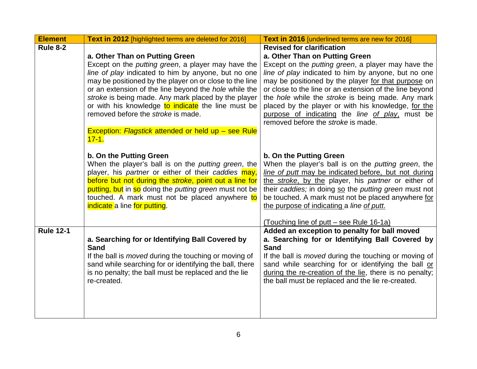| <b>Element</b>   | Text in 2012 [highlighted terms are deleted for 2016]                                                                                                                                                                                                                                                                                                                                                                            | Text in 2016 [underlined terms are new for 2016]                                                                                                                                                                                                                                                                                                                                                                                                                                                                     |
|------------------|----------------------------------------------------------------------------------------------------------------------------------------------------------------------------------------------------------------------------------------------------------------------------------------------------------------------------------------------------------------------------------------------------------------------------------|----------------------------------------------------------------------------------------------------------------------------------------------------------------------------------------------------------------------------------------------------------------------------------------------------------------------------------------------------------------------------------------------------------------------------------------------------------------------------------------------------------------------|
| <b>Rule 8-2</b>  | a. Other Than on Putting Green<br>Except on the putting green, a player may have the<br>line of play indicated to him by anyone, but no one<br>may be positioned by the player on or close to the line<br>or an extension of the line beyond the <i>hole</i> while the<br>stroke is being made. Any mark placed by the player<br>or with his knowledge to indicate the line must be<br>removed before the <i>stroke</i> is made. | <b>Revised for clarification</b><br>a. Other Than on Putting Green<br>Except on the putting green, a player may have the<br>line of play indicated to him by anyone, but no one<br>may be positioned by the player for that purpose on<br>or close to the line or an extension of the line beyond<br>the <i>hole</i> while the <i>stroke</i> is being made. Any mark<br>placed by the player or with his knowledge, for the<br>purpose of indicating the line of play, must be<br>removed before the stroke is made. |
|                  | Exception: Flagstick attended or held up - see Rule<br>$17-1.$<br>b. On the Putting Green<br>When the player's ball is on the <i>putting green</i> , the<br>player, his partner or either of their caddies may,<br>before but not during the stroke, point out a line for<br>putting, but in so doing the putting green must not be<br>touched. A mark must not be placed anywhere to<br>indicate a line for putting.            | b. On the Putting Green<br>When the player's ball is on the <i>putting green</i> , the<br>line of putt may be indicated before, but not during<br>the stroke, by the player, his partner or either of<br>their caddies; in doing so the putting green must not<br>be touched. A mark must not be placed anywhere for<br>the purpose of indicating a line of putt.<br>(Touching line of putt – see Rule 16-1a)                                                                                                        |
| <b>Rule 12-1</b> | a. Searching for or Identifying Ball Covered by<br><b>Sand</b><br>If the ball is <i>moved</i> during the touching or moving of<br>sand while searching for or identifying the ball, there<br>is no penalty; the ball must be replaced and the lie<br>re-created.                                                                                                                                                                 | Added an exception to penalty for ball moved<br>a. Searching for or Identifying Ball Covered by<br><b>Sand</b><br>If the ball is <i>moved</i> during the touching or moving of<br>sand while searching for or identifying the ball or<br>during the re-creation of the lie, there is no penalty;<br>the ball must be replaced and the lie re-created.                                                                                                                                                                |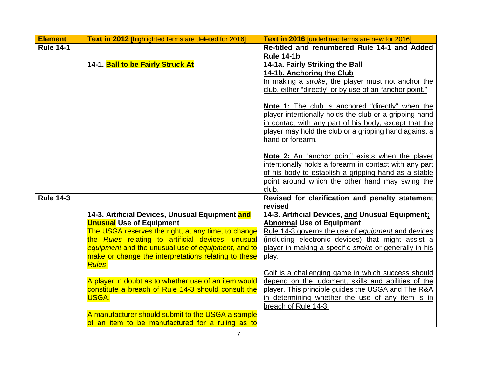| <b>Element</b>   | Text in 2012 [highlighted terms are deleted for 2016] | Text in 2016 [underlined terms are new for 2016]                                                               |
|------------------|-------------------------------------------------------|----------------------------------------------------------------------------------------------------------------|
| <b>Rule 14-1</b> |                                                       | Re-titled and renumbered Rule 14-1 and Added                                                                   |
|                  |                                                       | <b>Rule 14-1b</b>                                                                                              |
|                  | 14-1. Ball to be Fairly Struck At                     | 14-1a. Fairly Striking the Ball                                                                                |
|                  |                                                       | 14-1b. Anchoring the Club                                                                                      |
|                  |                                                       | In making a stroke, the player must not anchor the                                                             |
|                  |                                                       | club, either "directly" or by use of an "anchor point."                                                        |
|                  |                                                       |                                                                                                                |
|                  |                                                       | Note 1: The club is anchored "directly" when the                                                               |
|                  |                                                       | player intentionally holds the club or a gripping hand                                                         |
|                  |                                                       | in contact with any part of his body, except that the<br>player may hold the club or a gripping hand against a |
|                  |                                                       | hand or forearm.                                                                                               |
|                  |                                                       |                                                                                                                |
|                  |                                                       | Note 2: An "anchor point" exists when the player                                                               |
|                  |                                                       | intentionally holds a forearm in contact with any part                                                         |
|                  |                                                       | of his body to establish a gripping hand as a stable                                                           |
|                  |                                                       | point around which the other hand may swing the                                                                |
|                  |                                                       | club.                                                                                                          |
| <b>Rule 14-3</b> |                                                       | Revised for clarification and penalty statement                                                                |
|                  |                                                       | revised                                                                                                        |
|                  | 14-3. Artificial Devices, Unusual Equipment and       | 14-3. Artificial Devices, and Unusual Equipment;                                                               |
|                  | <b>Unusual Use of Equipment</b>                       | <b>Abnormal Use of Equipment</b>                                                                               |
|                  | The USGA reserves the right, at any time, to change   | Rule 14-3 governs the use of equipment and devices                                                             |
|                  | the Rules relating to artificial devices, unusual     | (including electronic devices) that might assist a                                                             |
|                  | equipment and the unusual use of equipment, and to    | player in making a specific stroke or generally in his                                                         |
|                  | make or change the interpretations relating to these  | play.                                                                                                          |
|                  | <b>Rules.</b>                                         |                                                                                                                |
|                  | A player in doubt as to whether use of an item would  | Golf is a challenging game in which success should<br>depend on the judgment, skills and abilities of the      |
|                  | constitute a breach of Rule 14-3 should consult the   | player. This principle guides the USGA and The R&A                                                             |
|                  | USGA.                                                 | in determining whether the use of any item is in                                                               |
|                  |                                                       | breach of Rule 14-3.                                                                                           |
|                  | A manufacturer should submit to the USGA a sample     |                                                                                                                |
|                  | of an item to be manufactured for a ruling as to      |                                                                                                                |
|                  |                                                       |                                                                                                                |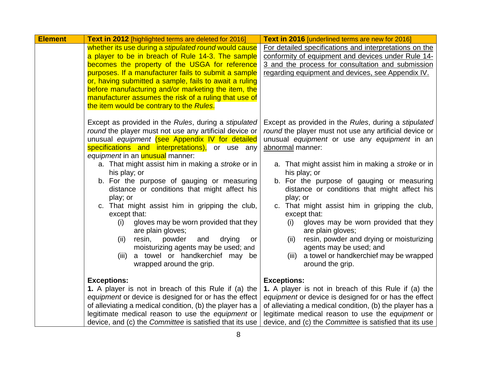| whether its use during a <i>stipulated round</i> would cause                                                                                                                                                                                                                                                                                                                                                                                                                                                                                                                                                                                                                                                                                           | For detailed specifications and interpretations on the                                                                                                                                                                                                                                                                                                                                                                                                                                                                                                                                                                                                         |
|--------------------------------------------------------------------------------------------------------------------------------------------------------------------------------------------------------------------------------------------------------------------------------------------------------------------------------------------------------------------------------------------------------------------------------------------------------------------------------------------------------------------------------------------------------------------------------------------------------------------------------------------------------------------------------------------------------------------------------------------------------|----------------------------------------------------------------------------------------------------------------------------------------------------------------------------------------------------------------------------------------------------------------------------------------------------------------------------------------------------------------------------------------------------------------------------------------------------------------------------------------------------------------------------------------------------------------------------------------------------------------------------------------------------------------|
| a player to be in breach of Rule 14-3. The sample                                                                                                                                                                                                                                                                                                                                                                                                                                                                                                                                                                                                                                                                                                      | conformity of equipment and devices under Rule 14-                                                                                                                                                                                                                                                                                                                                                                                                                                                                                                                                                                                                             |
| becomes the property of the USGA for reference<br>purposes. If a manufacturer fails to submit a sample<br>or, having submitted a sample, fails to await a ruling<br>before manufacturing and/or marketing the item, the<br>manufacturer assumes the risk of a ruling that use of<br>the item would be contrary to the Rules.                                                                                                                                                                                                                                                                                                                                                                                                                           | 3 and the process for consultation and submission<br>regarding equipment and devices, see Appendix IV.                                                                                                                                                                                                                                                                                                                                                                                                                                                                                                                                                         |
| Except as provided in the Rules, during a stipulated<br>round the player must not use any artificial device or<br>unusual equipment (see Appendix IV for detailed<br>specifications and interpretations), or use any<br>equipment in an <b>unusual</b> manner:<br>a. That might assist him in making a stroke or in<br>his play; or<br>b. For the purpose of gauging or measuring<br>distance or conditions that might affect his<br>play; or<br>c. That might assist him in gripping the club,<br>except that:<br>gloves may be worn provided that they<br>(i)<br>are plain gloves;<br>powder<br>(ii)<br>resin,<br>and<br>drying<br>or<br>moisturizing agents may be used; and<br>a towel or handkerchief may be<br>(iii)<br>wrapped around the grip. | Except as provided in the Rules, during a stipulated<br>round the player must not use any artificial device or<br>unusual equipment or use any equipment in an<br>abnormal manner:<br>a. That might assist him in making a stroke or in<br>his play; or<br>b. For the purpose of gauging or measuring<br>distance or conditions that might affect his<br>play; or<br>c. That might assist him in gripping the club,<br>except that:<br>gloves may be worn provided that they<br>(i)<br>are plain gloves;<br>resin, powder and drying or moisturizing<br>(ii)<br>agents may be used; and<br>a towel or handkerchief may be wrapped<br>(iii)<br>around the grip. |
| <b>Exceptions:</b>                                                                                                                                                                                                                                                                                                                                                                                                                                                                                                                                                                                                                                                                                                                                     | <b>Exceptions:</b>                                                                                                                                                                                                                                                                                                                                                                                                                                                                                                                                                                                                                                             |
| 1. A player is not in breach of this Rule if (a) the                                                                                                                                                                                                                                                                                                                                                                                                                                                                                                                                                                                                                                                                                                   | 1. A player is not in breach of this Rule if (a) the                                                                                                                                                                                                                                                                                                                                                                                                                                                                                                                                                                                                           |
| equipment or device is designed for or has the effect                                                                                                                                                                                                                                                                                                                                                                                                                                                                                                                                                                                                                                                                                                  | equipment or device is designed for or has the effect                                                                                                                                                                                                                                                                                                                                                                                                                                                                                                                                                                                                          |
| of alleviating a medical condition, (b) the player has a                                                                                                                                                                                                                                                                                                                                                                                                                                                                                                                                                                                                                                                                                               | of alleviating a medical condition, (b) the player has a                                                                                                                                                                                                                                                                                                                                                                                                                                                                                                                                                                                                       |
| legitimate medical reason to use the equipment or                                                                                                                                                                                                                                                                                                                                                                                                                                                                                                                                                                                                                                                                                                      | legitimate medical reason to use the equipment or                                                                                                                                                                                                                                                                                                                                                                                                                                                                                                                                                                                                              |
| device, and (c) the <i>Committee</i> is satisfied that its use                                                                                                                                                                                                                                                                                                                                                                                                                                                                                                                                                                                                                                                                                         | device, and (c) the <i>Committee</i> is satisfied that its use                                                                                                                                                                                                                                                                                                                                                                                                                                                                                                                                                                                                 |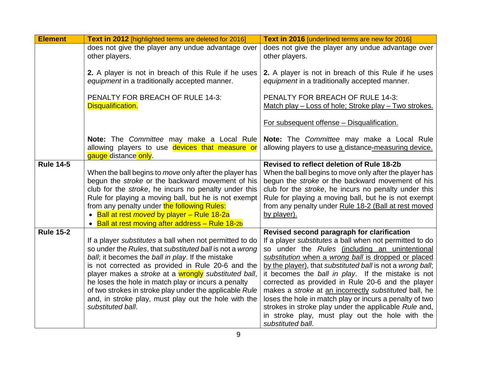| <b>Element</b>   | Text in 2012 [highlighted terms are deleted for 2016]                                                                                                                                                                                                                                                                                                                                                                                                                                | Text in 2016 [underlined terms are new for 2016]                                                                                                                                                                                                                                                                                                                                                                                                                                                                                                                                                                                             |
|------------------|--------------------------------------------------------------------------------------------------------------------------------------------------------------------------------------------------------------------------------------------------------------------------------------------------------------------------------------------------------------------------------------------------------------------------------------------------------------------------------------|----------------------------------------------------------------------------------------------------------------------------------------------------------------------------------------------------------------------------------------------------------------------------------------------------------------------------------------------------------------------------------------------------------------------------------------------------------------------------------------------------------------------------------------------------------------------------------------------------------------------------------------------|
|                  | does not give the player any undue advantage over<br>other players.                                                                                                                                                                                                                                                                                                                                                                                                                  | does not give the player any undue advantage over<br>other players.                                                                                                                                                                                                                                                                                                                                                                                                                                                                                                                                                                          |
|                  | 2. A player is not in breach of this Rule if he uses<br>equipment in a traditionally accepted manner.                                                                                                                                                                                                                                                                                                                                                                                | 2. A player is not in breach of this Rule if he uses<br>equipment in a traditionally accepted manner.                                                                                                                                                                                                                                                                                                                                                                                                                                                                                                                                        |
|                  | PENALTY FOR BREACH OF RULE 14-3:<br>Disqualification.                                                                                                                                                                                                                                                                                                                                                                                                                                | PENALTY FOR BREACH OF RULE 14-3:<br>Match play – Loss of hole; Stroke play – Two strokes.                                                                                                                                                                                                                                                                                                                                                                                                                                                                                                                                                    |
|                  |                                                                                                                                                                                                                                                                                                                                                                                                                                                                                      | For subsequent offense - Disqualification.                                                                                                                                                                                                                                                                                                                                                                                                                                                                                                                                                                                                   |
|                  | Note: The Committee may make a Local Rule<br>allowing players to use devices that measure or<br>gauge distance only.                                                                                                                                                                                                                                                                                                                                                                 | Note: The Committee may make a Local Rule<br>allowing players to use a distance-measuring device.                                                                                                                                                                                                                                                                                                                                                                                                                                                                                                                                            |
| <b>Rule 14-5</b> | When the ball begins to move only after the player has<br>begun the stroke or the backward movement of his<br>club for the <i>stroke</i> , he incurs no penalty under this<br>Rule for playing a moving ball, but he is not exempt<br>from any penalty under the following Rules:<br>• Ball at rest moved by player - Rule 18-2a<br>• Ball at rest moving after address - Rule 18-2b                                                                                                 | Revised to reflect deletion of Rule 18-2b<br>When the ball begins to move only after the player has<br>begun the stroke or the backward movement of his<br>club for the stroke, he incurs no penalty under this<br>Rule for playing a moving ball, but he is not exempt<br>from any penalty under Rule 18-2 (Ball at rest moved<br>by player).                                                                                                                                                                                                                                                                                               |
| <b>Rule 15-2</b> | If a player substitutes a ball when not permitted to do<br>so under the Rules, that substituted ball is not a wrong<br>ball; it becomes the ball in play. If the mistake<br>is not corrected as provided in Rule 20-6 and the<br>player makes a stroke at a wrongly substituted ball,<br>he loses the hole in match play or incurs a penalty<br>of two strokes in stroke play under the applicable Rule<br>and, in stroke play, must play out the hole with the<br>substituted ball. | Revised second paragraph for clarification<br>If a player substitutes a ball when not permitted to do<br>so under the Rules (including an unintentional<br>substitution when a wrong ball is dropped or placed<br>by the player), that substituted ball is not a wrong ball;<br>it becomes the ball in play. If the mistake is not<br>corrected as provided in Rule 20-6 and the player<br>makes a stroke at an incorrectly substituted ball, he<br>loses the hole in match play or incurs a penalty of two<br>strokes in stroke play under the applicable Rule and,<br>in stroke play, must play out the hole with the<br>substituted ball. |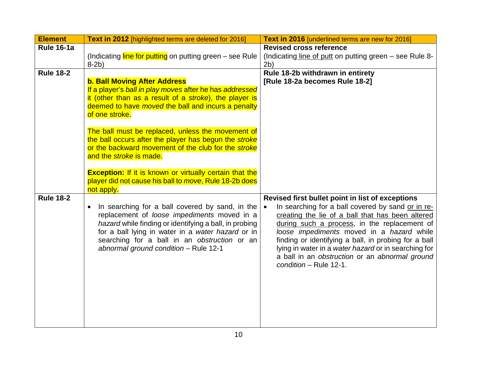| <b>Element</b>    | Text in 2012 [highlighted terms are deleted for 2016]          | Text in 2016 [underlined terms are new for 2016]        |
|-------------------|----------------------------------------------------------------|---------------------------------------------------------|
| <b>Rule 16-1a</b> |                                                                | <b>Revised cross reference</b>                          |
|                   | (Indicating line for putting on putting green – see Rule       | (Indicating line of putt on putting green – see Rule 8- |
|                   | $8-2b)$                                                        | 2b)                                                     |
| <b>Rule 18-2</b>  |                                                                | Rule 18-2b withdrawn in entirety                        |
|                   | <b>b. Ball Moving After Address</b>                            | [Rule 18-2a becomes Rule 18-2]                          |
|                   | If a player's ball in play moves after he has addressed        |                                                         |
|                   | it (other than as a result of a stroke), the player is         |                                                         |
|                   | deemed to have moved the ball and incurs a penalty             |                                                         |
|                   | of one stroke.                                                 |                                                         |
|                   | The ball must be replaced, unless the movement of              |                                                         |
|                   | the ball occurs after the player has begun the stroke          |                                                         |
|                   | or the backward movement of the club for the stroke            |                                                         |
|                   | and the stroke is made.                                        |                                                         |
|                   |                                                                |                                                         |
|                   | <b>Exception:</b> If it is known or virtually certain that the |                                                         |
|                   | player did not cause his ball to move, Rule 18-2b does         |                                                         |
|                   | not apply.                                                     |                                                         |
| <b>Rule 18-2</b>  |                                                                | Revised first bullet point in list of exceptions        |
|                   | In searching for a ball covered by sand, in the<br>$\bullet$   | In searching for a ball covered by sand or in re-       |
|                   | replacement of loose impediments moved in a                    | creating the lie of a ball that has been altered        |
|                   | hazard while finding or identifying a ball, in probing         | during such a process, in the replacement of            |
|                   | for a ball lying in water in a water hazard or in              | loose impediments moved in a hazard while               |
|                   | searching for a ball in an obstruction or an                   | finding or identifying a ball, in probing for a ball    |
|                   | abnormal ground condition - Rule 12-1                          | lying in water in a water hazard or in searching for    |
|                   |                                                                | a ball in an obstruction or an abnormal ground          |
|                   |                                                                | condition - Rule 12-1.                                  |
|                   |                                                                |                                                         |
|                   |                                                                |                                                         |
|                   |                                                                |                                                         |
|                   |                                                                |                                                         |
|                   |                                                                |                                                         |
|                   |                                                                |                                                         |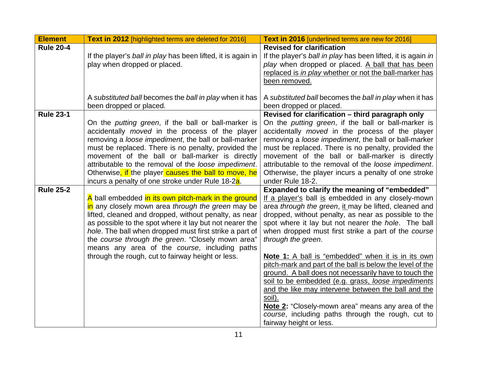| <b>Element</b>   | Text in 2012 [highlighted terms are deleted for 2016]        | Text in 2016 [underlined terms are new for 2016]             |
|------------------|--------------------------------------------------------------|--------------------------------------------------------------|
| <b>Rule 20-4</b> |                                                              | <b>Revised for clarification</b>                             |
|                  | If the player's ball in play has been lifted, it is again in | If the player's ball in play has been lifted, it is again in |
|                  | play when dropped or placed.                                 | play when dropped or placed. A ball that has been            |
|                  |                                                              | replaced is in play whether or not the ball-marker has       |
|                  |                                                              | been removed.                                                |
|                  |                                                              |                                                              |
|                  | A substituted ball becomes the ball in play when it has      | A substituted ball becomes the ball in play when it has      |
|                  | been dropped or placed.                                      | been dropped or placed.                                      |
| <b>Rule 23-1</b> |                                                              | Revised for clarification - third paragraph only             |
|                  | On the putting green, if the ball or ball-marker is          | On the putting green, if the ball or ball-marker is          |
|                  | accidentally <i>moved</i> in the process of the player       | accidentally <i>moved</i> in the process of the player       |
|                  | removing a loose impediment, the ball or ball-marker         | removing a loose impediment, the ball or ball-marker         |
|                  | must be replaced. There is no penalty, provided the          | must be replaced. There is no penalty, provided the          |
|                  | movement of the ball or ball-marker is directly              | movement of the ball or ball-marker is directly              |
|                  | attributable to the removal of the loose impediment.         | attributable to the removal of the loose impediment.         |
|                  | Otherwise, if the player causes the ball to move, he         | Otherwise, the player incurs a penalty of one stroke         |
|                  | incurs a penalty of one stroke under Rule 18-2a.             | under Rule 18-2.                                             |
| <b>Rule 25-2</b> |                                                              | Expanded to clarify the meaning of "embedded"                |
|                  | A ball embedded in its own pitch-mark in the ground          | If a player's ball is embedded in any closely-mown           |
|                  | in any closely mown area through the green may be            | area through the green, it may be lifted, cleaned and        |
|                  | lifted, cleaned and dropped, without penalty, as near        | dropped, without penalty, as near as possible to the         |
|                  | as possible to the spot where it lay but not nearer the      | spot where it lay but not nearer the <i>hole</i> . The ball  |
|                  | hole. The ball when dropped must first strike a part of      | when dropped must first strike a part of the course          |
|                  | the course through the green. "Closely mown area"            | through the green.                                           |
|                  | means any area of the course, including paths                |                                                              |
|                  | through the rough, cut to fairway height or less.            | Note 1: A ball is "embedded" when it is in its own           |
|                  |                                                              | pitch-mark and part of the ball is below the level of the    |
|                  |                                                              | ground. A ball does not necessarily have to touch the        |
|                  |                                                              | soil to be embedded (e.g. grass, loose impediments           |
|                  |                                                              | and the like may intervene between the ball and the          |
|                  |                                                              | soil).                                                       |
|                  |                                                              | Note 2: "Closely-mown area" means any area of the            |
|                  |                                                              | course, including paths through the rough, cut to            |
|                  |                                                              | fairway height or less.                                      |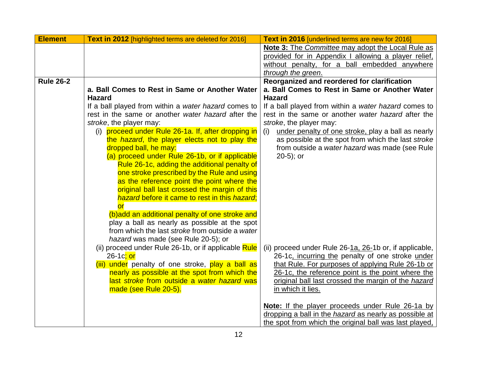| through the green.<br><b>Rule 26-2</b><br>Reorganized and reordered for clarification<br>a. Ball Comes to Rest in Same or Another Water<br>a. Ball Comes to Rest in Same or Another Water | <b>Element</b> | Text in 2012 [highlighted terms are deleted for 2016] | Text in 2016 [underlined terms are new for 2016]                                                       |
|-------------------------------------------------------------------------------------------------------------------------------------------------------------------------------------------|----------------|-------------------------------------------------------|--------------------------------------------------------------------------------------------------------|
|                                                                                                                                                                                           |                |                                                       | <b>Note 3:</b> The Committee may adopt the Local Rule as                                               |
|                                                                                                                                                                                           |                |                                                       | provided for in Appendix I allowing a player relief,                                                   |
|                                                                                                                                                                                           |                |                                                       | without penalty, for a ball embedded anywhere                                                          |
|                                                                                                                                                                                           |                |                                                       |                                                                                                        |
|                                                                                                                                                                                           |                |                                                       |                                                                                                        |
|                                                                                                                                                                                           |                |                                                       |                                                                                                        |
|                                                                                                                                                                                           |                | <b>Hazard</b>                                         | <b>Hazard</b>                                                                                          |
| If a ball played from within a water hazard comes to                                                                                                                                      |                |                                                       | If a ball played from within a water hazard comes to                                                   |
| rest in the same or another water hazard after the                                                                                                                                        |                |                                                       | rest in the same or another water hazard after the                                                     |
| stroke, the player may:<br>stroke, the player may:                                                                                                                                        |                |                                                       |                                                                                                        |
| (i) proceed under Rule 26-1a. If, after dropping in<br>(i)                                                                                                                                |                |                                                       | under penalty of one stroke, play a ball as nearly                                                     |
| the <i>hazard</i> , the player elects not to play the                                                                                                                                     |                |                                                       | as possible at the spot from which the last stroke                                                     |
| dropped ball, he may:                                                                                                                                                                     |                |                                                       | from outside a water hazard was made (see Rule                                                         |
| (a) proceed under Rule 26-1b, or if applicable<br>$20-5$ ; or                                                                                                                             |                |                                                       |                                                                                                        |
| Rule 26-1c, adding the additional penalty of                                                                                                                                              |                |                                                       |                                                                                                        |
| one stroke prescribed by the Rule and using                                                                                                                                               |                |                                                       |                                                                                                        |
| as the reference point the point where the                                                                                                                                                |                |                                                       |                                                                                                        |
| original ball last crossed the margin of this                                                                                                                                             |                |                                                       |                                                                                                        |
| hazard before it came to rest in this hazard;                                                                                                                                             |                |                                                       |                                                                                                        |
| or                                                                                                                                                                                        |                |                                                       |                                                                                                        |
| (b)add an additional penalty of one stroke and                                                                                                                                            |                |                                                       |                                                                                                        |
| play a ball as nearly as possible at the spot                                                                                                                                             |                |                                                       |                                                                                                        |
| from which the last stroke from outside a water                                                                                                                                           |                |                                                       |                                                                                                        |
| hazard was made (see Rule 20-5); or                                                                                                                                                       |                |                                                       |                                                                                                        |
| (ii) proceed under Rule 26-1b, or if applicable Rule<br>26-1c <mark>: or</mark>                                                                                                           |                |                                                       | (ii) proceed under Rule 26-1a, 26-1b or, if applicable,                                                |
|                                                                                                                                                                                           |                |                                                       | 26-1c, incurring the penalty of one stroke under                                                       |
| (iii) under penalty of one stroke, play a ball as<br>nearly as possible at the spot from which the                                                                                        |                |                                                       | that Rule. For purposes of applying Rule 26-1b or<br>26-1c, the reference point is the point where the |
| last stroke from outside a water hazard was                                                                                                                                               |                |                                                       | original ball last crossed the margin of the hazard                                                    |
| in which it lies.<br>made (see Rule 20-5).                                                                                                                                                |                |                                                       |                                                                                                        |
|                                                                                                                                                                                           |                |                                                       |                                                                                                        |
|                                                                                                                                                                                           |                |                                                       | Note: If the player proceeds under Rule 26-1a by                                                       |
|                                                                                                                                                                                           |                |                                                       | dropping a ball in the <i>hazard</i> as nearly as possible at                                          |
|                                                                                                                                                                                           |                |                                                       | the spot from which the original ball was last played,                                                 |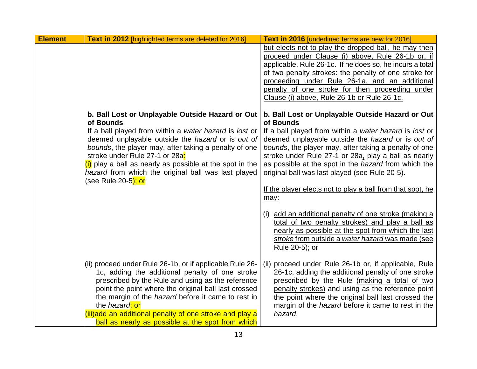| <b>Element</b> | Text in 2012 [highlighted terms are deleted for 2016]                                                                                                                                                                                                                                                                                                                                                                    | Text in 2016 [underlined terms are new for 2016]                                                                                                                                                                                                                                                                                                                                                                                                                                     |
|----------------|--------------------------------------------------------------------------------------------------------------------------------------------------------------------------------------------------------------------------------------------------------------------------------------------------------------------------------------------------------------------------------------------------------------------------|--------------------------------------------------------------------------------------------------------------------------------------------------------------------------------------------------------------------------------------------------------------------------------------------------------------------------------------------------------------------------------------------------------------------------------------------------------------------------------------|
|                |                                                                                                                                                                                                                                                                                                                                                                                                                          | but elects not to play the dropped ball, he may then<br>proceed under Clause (i) above, Rule 26-1b or, if<br>applicable, Rule 26-1c. If he does so, he incurs a total<br>of two penalty strokes: the penalty of one stroke for<br>proceeding under Rule 26-1a, and an additional<br>penalty of one stroke for then proceeding under<br>Clause (i) above, Rule 26-1b or Rule 26-1c.                                                                                                   |
|                | b. Ball Lost or Unplayable Outside Hazard or Out<br>of Bounds<br>If a ball played from within a water hazard is lost or<br>deemed unplayable outside the hazard or is out of<br>bounds, the player may, after taking a penalty of one<br>stroke under Rule 27-1 or 28a:<br>$(i)$ play a ball as nearly as possible at the spot in the<br>hazard from which the original ball was last played<br>(see Rule 20-5); or      | b. Ball Lost or Unplayable Outside Hazard or Out<br>of Bounds<br>If a ball played from within a water hazard is lost or<br>deemed unplayable outside the hazard or is out of<br>bounds, the player may, after taking a penalty of one<br>stroke under Rule 27-1 or 28a, play a ball as nearly<br>as possible at the spot in the <i>hazard</i> from which the<br>original ball was last played (see Rule 20-5).<br>If the player elects not to play a ball from that spot, he<br>may: |
|                |                                                                                                                                                                                                                                                                                                                                                                                                                          | (i) add an additional penalty of one stroke (making a<br>total of two penalty strokes) and play a ball as<br>nearly as possible at the spot from which the last<br>stroke from outside a water hazard was made (see<br>Rule 20-5); or                                                                                                                                                                                                                                                |
|                | (ii) proceed under Rule 26-1b, or if applicable Rule 26-<br>1c, adding the additional penalty of one stroke<br>prescribed by the Rule and using as the reference<br>point the point where the original ball last crossed<br>the margin of the <i>hazard</i> before it came to rest in<br>the hazard; or<br>(iii) add an additional penalty of one stroke and play a<br>ball as nearly as possible at the spot from which | (ii) proceed under Rule 26-1b or, if applicable, Rule<br>26-1c, adding the additional penalty of one stroke<br>prescribed by the Rule (making a total of two<br>penalty strokes) and using as the reference point<br>the point where the original ball last crossed the<br>margin of the <i>hazard</i> before it came to rest in the<br>hazard.                                                                                                                                      |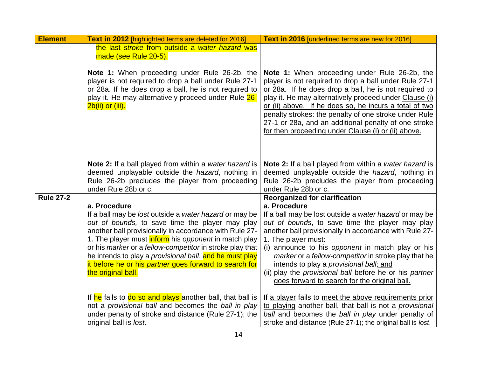| <b>Element</b>   | Text in 2012 [highlighted terms are deleted for 2016]                                                                                                                                                                                                                                                                                                                                                                                                     | Text in 2016 [underlined terms are new for 2016]                                                                                                                                                                                                                                                                                                                                                                                                                                                                                     |
|------------------|-----------------------------------------------------------------------------------------------------------------------------------------------------------------------------------------------------------------------------------------------------------------------------------------------------------------------------------------------------------------------------------------------------------------------------------------------------------|--------------------------------------------------------------------------------------------------------------------------------------------------------------------------------------------------------------------------------------------------------------------------------------------------------------------------------------------------------------------------------------------------------------------------------------------------------------------------------------------------------------------------------------|
|                  | the last stroke from outside a water hazard was<br>made (see Rule 20-5).                                                                                                                                                                                                                                                                                                                                                                                  |                                                                                                                                                                                                                                                                                                                                                                                                                                                                                                                                      |
|                  | Note 1: When proceeding under Rule 26-2b, the<br>player is not required to drop a ball under Rule 27-1<br>or 28a. If he does drop a ball, he is not required to<br>play it. He may alternatively proceed under Rule 26-<br>$2b(ii)$ or $(iii)$ .                                                                                                                                                                                                          | <b>Note 1:</b> When proceeding under Rule 26-2b, the<br>player is not required to drop a ball under Rule 27-1<br>or 28a. If he does drop a ball, he is not required to<br>play it. He may alternatively proceed under Clause (i)<br>or (ii) above. If he does so, he incurs a total of two<br>penalty strokes: the penalty of one stroke under Rule<br>27-1 or 28a, and an additional penalty of one stroke<br>for then proceeding under Clause (i) or (ii) above.                                                                   |
|                  | <b>Note 2:</b> If a ball played from within a water hazard is<br>deemed unplayable outside the <i>hazard</i> , nothing in<br>Rule 26-2b precludes the player from proceeding<br>under Rule 28b or c.                                                                                                                                                                                                                                                      | <b>Note 2:</b> If a ball played from within a water hazard is<br>deemed unplayable outside the <i>hazard</i> , nothing in<br>Rule 26-2b precludes the player from proceeding<br>under Rule 28b or c.                                                                                                                                                                                                                                                                                                                                 |
| <b>Rule 27-2</b> | a. Procedure<br>If a ball may be lost outside a water hazard or may be<br>out of bounds, to save time the player may play<br>another ball provisionally in accordance with Rule 27-<br>1. The player must <b>inform</b> his opponent in match play<br>or his marker or a fellow-competitor in stroke play that<br>he intends to play a provisional ball, and he must play<br>it before he or his partner goes forward to search for<br>the original ball. | <b>Reorganized for clarification</b><br>a. Procedure<br>If a ball may be lost outside a water hazard or may be<br>out of bounds, to save time the player may play<br>another ball provisionally in accordance with Rule 27-<br>1. The player must:<br>(i) announce to his opponent in match play or his<br>marker or a fellow-competitor in stroke play that he<br>intends to play a provisional ball; and<br>(ii) play the <i>provisional ball</i> before he or his <i>partner</i><br>goes forward to search for the original ball. |
|                  | If he fails to do so and plays another ball, that ball is<br>not a provisional ball and becomes the ball in play<br>under penalty of stroke and distance (Rule 27-1); the<br>original ball is lost.                                                                                                                                                                                                                                                       | If a player fails to meet the above requirements prior<br>to playing another ball, that ball is not a provisional<br>ball and becomes the ball in play under penalty of<br>stroke and distance (Rule 27-1); the original ball is lost.                                                                                                                                                                                                                                                                                               |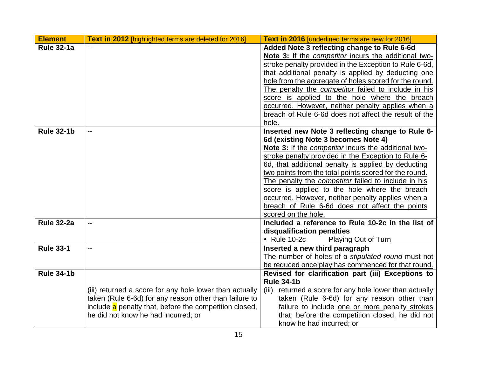| <b>Element</b>    | Text in 2012 [highlighted terms are deleted for 2016]   | Text in 2016 [underlined terms are new for 2016]                                                         |
|-------------------|---------------------------------------------------------|----------------------------------------------------------------------------------------------------------|
| <b>Rule 32-1a</b> |                                                         | Added Note 3 reflecting change to Rule 6-6d                                                              |
|                   |                                                         | Note 3: If the competitor incurs the additional two-                                                     |
|                   |                                                         | stroke penalty provided in the Exception to Rule 6-6d,                                                   |
|                   |                                                         | that additional penalty is applied by deducting one                                                      |
|                   |                                                         | hole from the aggregate of holes scored for the round.                                                   |
|                   |                                                         | The penalty the competitor failed to include in his                                                      |
|                   |                                                         | score is applied to the hole where the breach                                                            |
|                   |                                                         | occurred. However, neither penalty applies when a                                                        |
|                   |                                                         | breach of Rule 6-6d does not affect the result of the                                                    |
|                   |                                                         | hole.                                                                                                    |
| <b>Rule 32-1b</b> | $-$                                                     | Inserted new Note 3 reflecting change to Rule 6-                                                         |
|                   |                                                         | 6d (existing Note 3 becomes Note 4)                                                                      |
|                   |                                                         | Note 3: If the competitor incurs the additional two-                                                     |
|                   |                                                         | stroke penalty provided in the Exception to Rule 6-                                                      |
|                   |                                                         | 6d, that additional penalty is applied by deducting                                                      |
|                   |                                                         | two points from the total points scored for the round.                                                   |
|                   |                                                         | The penalty the <i>competitor</i> failed to include in his                                               |
|                   |                                                         | score is applied to the hole where the breach                                                            |
|                   |                                                         | occurred. However, neither penalty applies when a                                                        |
|                   |                                                         | breach of Rule 6-6d does not affect the points                                                           |
|                   |                                                         | scored on the hole.                                                                                      |
| <b>Rule 32-2a</b> | $\overline{a}$                                          | Included a reference to Rule 10-2c in the list of                                                        |
|                   |                                                         | disqualification penalties                                                                               |
| <b>Rule 33-1</b>  |                                                         | • Rule 10-2c<br>Playing Out of Turn                                                                      |
|                   | $-$                                                     | Inserted a new third paragraph                                                                           |
|                   |                                                         | The number of holes of a stipulated round must not<br>be reduced once play has commenced for that round. |
| <b>Rule 34-1b</b> |                                                         | Revised for clarification part (iii) Exceptions to                                                       |
|                   |                                                         | <b>Rule 34-1b</b>                                                                                        |
|                   | (iii) returned a score for any hole lower than actually | returned a score for any hole lower than actually<br>(iii)                                               |
|                   | taken (Rule 6-6d) for any reason other than failure to  | taken (Rule 6-6d) for any reason other than                                                              |
|                   | include a penalty that, before the competition closed,  | failure to include one or more penalty strokes                                                           |
|                   | he did not know he had incurred; or                     | that, before the competition closed, he did not                                                          |
|                   |                                                         |                                                                                                          |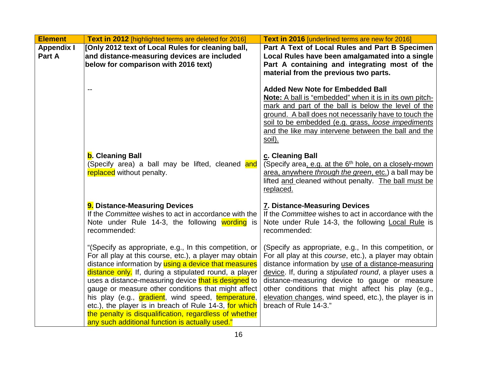| <b>Element</b>              | Text in 2012 [highlighted terms are deleted for 2016]                                                                                                                                                                                                                                                                                                                                                                                                                                                                                                                            | Text in 2016 [underlined terms are new for 2016]                                                                                                                                                                                                                                                                                                                                                                             |
|-----------------------------|----------------------------------------------------------------------------------------------------------------------------------------------------------------------------------------------------------------------------------------------------------------------------------------------------------------------------------------------------------------------------------------------------------------------------------------------------------------------------------------------------------------------------------------------------------------------------------|------------------------------------------------------------------------------------------------------------------------------------------------------------------------------------------------------------------------------------------------------------------------------------------------------------------------------------------------------------------------------------------------------------------------------|
| <b>Appendix I</b><br>Part A | [Only 2012 text of Local Rules for cleaning ball,<br>and distance-measuring devices are included<br>below for comparison with 2016 text)                                                                                                                                                                                                                                                                                                                                                                                                                                         | Part A Text of Local Rules and Part B Specimen<br>Local Rules have been amalgamated into a single<br>Part A containing and integrating most of the<br>material from the previous two parts.                                                                                                                                                                                                                                  |
|                             |                                                                                                                                                                                                                                                                                                                                                                                                                                                                                                                                                                                  | <b>Added New Note for Embedded Ball</b><br>Note: A ball is "embedded" when it is in its own pitch-<br>mark and part of the ball is below the level of the<br>ground. A ball does not necessarily have to touch the<br>soil to be embedded (e.g. grass, loose impediments<br>and the like may intervene between the ball and the<br>soil).                                                                                    |
|                             | <b>b.</b> Cleaning Ball<br>(Specify area) a ball may be lifted, cleaned and<br>replaced without penalty.                                                                                                                                                                                                                                                                                                                                                                                                                                                                         | c. Cleaning Ball<br>(Specify area, e.g. at the 6 <sup>th</sup> hole, on a closely-mown<br>area, anywhere through the green, etc.) a ball may be<br>lifted and cleaned without penalty. The ball must be<br>replaced.                                                                                                                                                                                                         |
|                             | 9. Distance-Measuring Devices<br>If the Committee wishes to act in accordance with the<br>Note under Rule 14-3, the following wording is<br>recommended:                                                                                                                                                                                                                                                                                                                                                                                                                         | <b>7. Distance-Measuring Devices</b><br>If the Committee wishes to act in accordance with the<br>Note under Rule 14-3, the following Local Rule is<br>recommended:                                                                                                                                                                                                                                                           |
|                             | "(Specify as appropriate, e.g., In this competition, or<br>For all play at this course, etc.), a player may obtain<br>distance information by using a device that measures<br>distance only. If, during a stipulated round, a player<br>uses a distance-measuring device that is designed to<br>gauge or measure other conditions that might affect<br>his play (e.g., gradient, wind speed, temperature,<br>etc.), the player is in breach of Rule 14-3, for which<br>the penalty is disqualification, regardless of whether<br>any such additional function is actually used." | (Specify as appropriate, e.g., In this competition, or<br>For all play at this course, etc.), a player may obtain<br>distance information by use of a distance-measuring<br>device. If, during a stipulated round, a player uses a<br>distance-measuring device to gauge or measure<br>other conditions that might affect his play (e.g.,<br>elevation changes, wind speed, etc.), the player is in<br>breach of Rule 14-3." |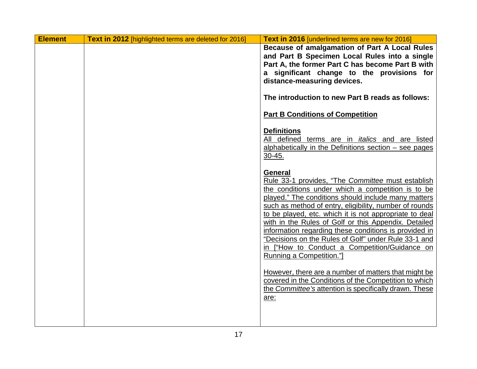| <b>Element</b> | Text in 2012 [highlighted terms are deleted for 2016] | Text in 2016 [underlined terms are new for 2016]                                                              |
|----------------|-------------------------------------------------------|---------------------------------------------------------------------------------------------------------------|
|                |                                                       | Because of amalgamation of Part A Local Rules                                                                 |
|                |                                                       | and Part B Specimen Local Rules into a single                                                                 |
|                |                                                       | Part A, the former Part C has become Part B with                                                              |
|                |                                                       | a significant change to the provisions for                                                                    |
|                |                                                       | distance-measuring devices.                                                                                   |
|                |                                                       | The introduction to new Part B reads as follows:                                                              |
|                |                                                       |                                                                                                               |
|                |                                                       | <b>Part B Conditions of Competition</b>                                                                       |
|                |                                                       | <b>Definitions</b>                                                                                            |
|                |                                                       | All defined terms are in <i>italics</i> and are listed                                                        |
|                |                                                       | alphabetically in the Definitions section $-$ see pages                                                       |
|                |                                                       | $30 - 45.$                                                                                                    |
|                |                                                       |                                                                                                               |
|                |                                                       | General                                                                                                       |
|                |                                                       | Rule 33-1 provides, "The Committee must establish                                                             |
|                |                                                       | the conditions under which a competition is to be                                                             |
|                |                                                       | played." The conditions should include many matters<br>such as method of entry, eligibility, number of rounds |
|                |                                                       | to be played, etc. which it is not appropriate to deal                                                        |
|                |                                                       | with in the Rules of Golf or this Appendix. Detailed                                                          |
|                |                                                       | information regarding these conditions is provided in                                                         |
|                |                                                       | "Decisions on the Rules of Golf" under Rule 33-1 and                                                          |
|                |                                                       | in ["How to Conduct a Competition/Guidance on                                                                 |
|                |                                                       | Running a Competition."]                                                                                      |
|                |                                                       |                                                                                                               |
|                |                                                       | However, there are a number of matters that might be                                                          |
|                |                                                       | covered in the Conditions of the Competition to which                                                         |
|                |                                                       | the Committee's attention is specifically drawn. These<br>are:                                                |
|                |                                                       |                                                                                                               |
|                |                                                       |                                                                                                               |
|                |                                                       |                                                                                                               |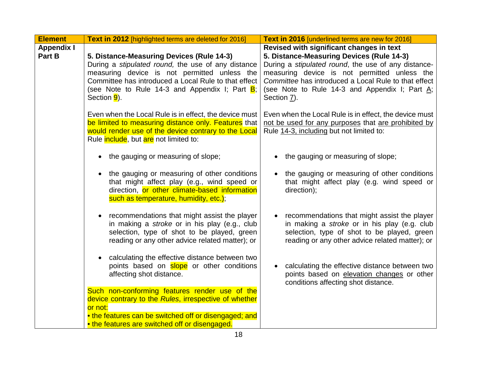| <b>Element</b>              | Text in 2012 [highlighted terms are deleted for 2016]                                                                                                                                                                                                                       | Text in 2016 [underlined terms are new for 2016]                                                                                                                                                                                                                                                                      |
|-----------------------------|-----------------------------------------------------------------------------------------------------------------------------------------------------------------------------------------------------------------------------------------------------------------------------|-----------------------------------------------------------------------------------------------------------------------------------------------------------------------------------------------------------------------------------------------------------------------------------------------------------------------|
| <b>Appendix I</b><br>Part B | 5. Distance-Measuring Devices (Rule 14-3)<br>During a stipulated round, the use of any distance<br>measuring device is not permitted unless the<br>Committee has introduced a Local Rule to that effect<br>(see Note to Rule 14-3 and Appendix I; Part $B$ ;<br>Section 9). | Revised with significant changes in text<br>5. Distance-Measuring Devices (Rule 14-3)<br>During a stipulated round, the use of any distance-<br>measuring device is not permitted unless the<br>Committee has introduced a Local Rule to that effect<br>(see Note to Rule 14-3 and Appendix I; Part A;<br>Section 7). |
|                             | Even when the Local Rule is in effect, the device must<br>be limited to measuring distance only. Features that<br>would render use of the device contrary to the Local<br>Rule include, but are not limited to:                                                             | Even when the Local Rule is in effect, the device must<br>not be used for any purposes that are prohibited by<br>Rule 14-3, including but not limited to:                                                                                                                                                             |
|                             | the gauging or measuring of slope;                                                                                                                                                                                                                                          | • the gauging or measuring of slope;                                                                                                                                                                                                                                                                                  |
|                             | the gauging or measuring of other conditions<br>that might affect play (e.g., wind speed or<br>direction, or other climate-based information<br>such as temperature, humidity, etc.);                                                                                       | the gauging or measuring of other conditions<br>that might affect play (e.g. wind speed or<br>direction);                                                                                                                                                                                                             |
|                             | recommendations that might assist the player<br>in making a stroke or in his play (e.g., club<br>selection, type of shot to be played, green<br>reading or any other advice related matter); or                                                                             | recommendations that might assist the player<br>in making a stroke or in his play (e.g. club<br>selection, type of shot to be played, green<br>reading or any other advice related matter); or                                                                                                                        |
|                             | calculating the effective distance between two<br>points based on <b>slope</b> or other conditions<br>affecting shot distance.                                                                                                                                              | calculating the effective distance between two<br>points based on elevation changes or other<br>conditions affecting shot distance.                                                                                                                                                                                   |
|                             | Such non-conforming features render use of the<br>device contrary to the Rules, irrespective of whether<br>or not:                                                                                                                                                          |                                                                                                                                                                                                                                                                                                                       |
|                             | • the features can be switched off or disengaged; and<br>• the features are switched off or disengaged.                                                                                                                                                                     |                                                                                                                                                                                                                                                                                                                       |